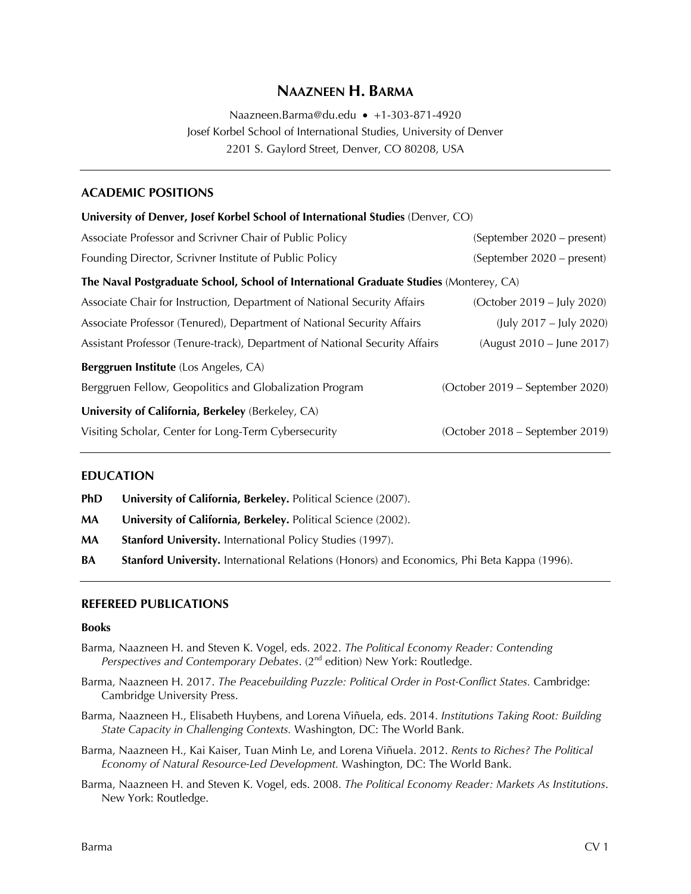# **NAAZNEEN H. BARMA**

Naazneen.Barma@du.edu • +1-303-871-4920 Josef Korbel School of International Studies, University of Denver 2201 S. Gaylord Street, Denver, CO 80208, USA

## **ACADEMIC POSITIONS**

| University of Denver, Josef Korbel School of International Studies (Denver, CO)        |                                 |
|----------------------------------------------------------------------------------------|---------------------------------|
| Associate Professor and Scrivner Chair of Public Policy                                | (September 2020 – present)      |
| Founding Director, Scrivner Institute of Public Policy                                 | (September 2020 – present)      |
| The Naval Postgraduate School, School of International Graduate Studies (Monterey, CA) |                                 |
| Associate Chair for Instruction, Department of National Security Affairs               | (October 2019 – July 2020)      |
| Associate Professor (Tenured), Department of National Security Affairs                 | (July 2017 – July 2020)         |
| Assistant Professor (Tenure-track), Department of National Security Affairs            | (August 2010 – June 2017)       |
| Berggruen Institute (Los Angeles, CA)                                                  |                                 |
| Berggruen Fellow, Geopolitics and Globalization Program                                | (October 2019 – September 2020) |
| University of California, Berkeley (Berkeley, CA)                                      |                                 |
| Visiting Scholar, Center for Long-Term Cybersecurity                                   | (October 2018 – September 2019) |

#### **EDUCATION**

- **PhD** University of California, Berkeley. Political Science (2007).
- **MA University of California, Berkeley.** Political Science (2002).
- **MA Stanford University.** International Policy Studies (1997).
- **BA Stanford University.** International Relations (Honors) and Economics, Phi Beta Kappa (1996).

#### **REFEREED PUBLICATIONS**

#### **Books**

- Barma, Naazneen H. and Steven K. Vogel, eds. 2022. *The Political Economy Reader: Contending Perspectives and Contemporary Debates.* (2<sup>nd</sup> edition) New York: Routledge.
- Barma, Naazneen H. 2017. *The Peacebuilding Puzzle: Political Order in Post-Conflict States.* Cambridge: Cambridge University Press.
- Barma, Naazneen H., Elisabeth Huybens, and Lorena Viñuela, eds. 2014. *Institutions Taking Root: Building State Capacity in Challenging Contexts.* Washington, DC: The World Bank.
- Barma, Naazneen H., Kai Kaiser, Tuan Minh Le, and Lorena Viñuela. 2012. *Rents to Riches? The Political Economy of Natural Resource-Led Development.* Washington, DC: The World Bank.
- Barma, Naazneen H. and Steven K. Vogel, eds. 2008. *The Political Economy Reader: Markets As Institutions*. New York: Routledge.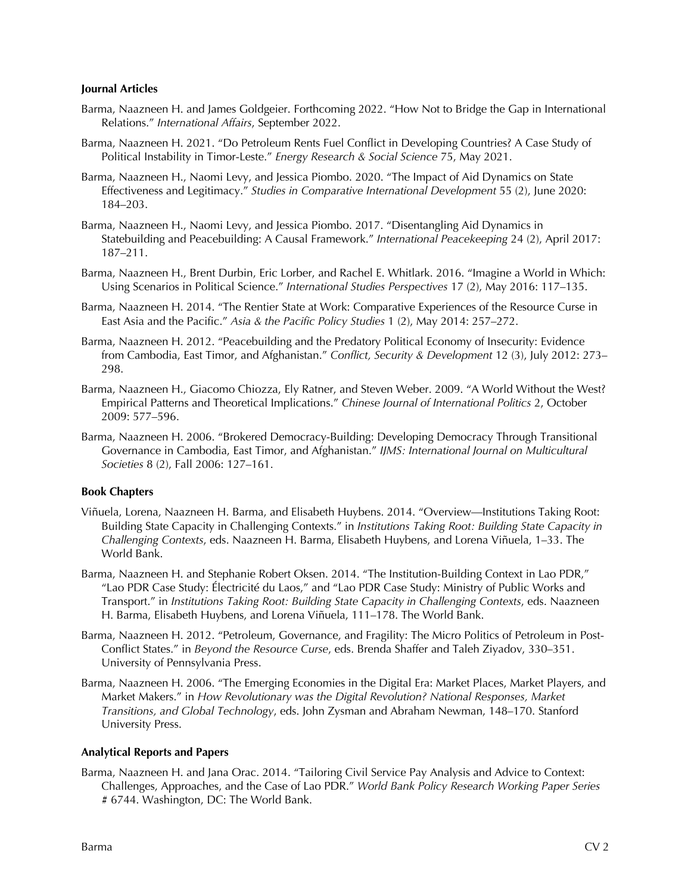#### **Journal Articles**

- Barma, Naazneen H. and James Goldgeier. Forthcoming 2022. "How Not to Bridge the Gap in International Relations." *International Affairs*, September 2022.
- Barma, Naazneen H. 2021. "Do Petroleum Rents Fuel Conflict in Developing Countries? A Case Study of Political Instability in Timor-Leste." *Energy Research & Social Science* 75, May 2021.
- Barma, Naazneen H., Naomi Levy, and Jessica Piombo. 2020. "The Impact of Aid Dynamics on State Effectiveness and Legitimacy." *Studies in Comparative International Development* 55 (2), June 2020: 184–203.
- Barma, Naazneen H., Naomi Levy, and Jessica Piombo. 2017. "Disentangling Aid Dynamics in Statebuilding and Peacebuilding: A Causal Framework." *International Peacekeeping* 24 (2), April 2017: 187–211.
- Barma, Naazneen H., Brent Durbin, Eric Lorber, and Rachel E. Whitlark. 2016. "Imagine a World in Which: Using Scenarios in Political Science." *International Studies Perspectives* 17 (2), May 2016: 117–135.
- Barma, Naazneen H. 2014. "The Rentier State at Work: Comparative Experiences of the Resource Curse in East Asia and the Pacific." *Asia & the Pacific Policy Studies* 1 (2), May 2014: 257–272.
- Barma, Naazneen H. 2012. "Peacebuilding and the Predatory Political Economy of Insecurity: Evidence from Cambodia, East Timor, and Afghanistan." *Conflict, Security & Development* 12 (3), July 2012: 273– 298.
- Barma, Naazneen H., Giacomo Chiozza, Ely Ratner, and Steven Weber. 2009. "A World Without the West? Empirical Patterns and Theoretical Implications." *Chinese Journal of International Politics* 2, October 2009: 577–596.
- Barma, Naazneen H. 2006. "Brokered Democracy-Building: Developing Democracy Through Transitional Governance in Cambodia, East Timor, and Afghanistan." *IJMS: International Journal on Multicultural Societies* 8 (2), Fall 2006: 127–161.

#### **Book Chapters**

- Viñuela, Lorena, Naazneen H. Barma, and Elisabeth Huybens. 2014. "Overview—Institutions Taking Root: Building State Capacity in Challenging Contexts." in *Institutions Taking Root: Building State Capacity in Challenging Contexts*, eds. Naazneen H. Barma, Elisabeth Huybens, and Lorena Viñuela, 1–33. The World Bank.
- Barma, Naazneen H. and Stephanie Robert Oksen. 2014. "The Institution-Building Context in Lao PDR," "Lao PDR Case Study: Électricité du Laos," and "Lao PDR Case Study: Ministry of Public Works and Transport." in *Institutions Taking Root: Building State Capacity in Challenging Contexts*, eds. Naazneen H. Barma, Elisabeth Huybens, and Lorena Viñuela, 111–178. The World Bank.
- Barma, Naazneen H. 2012. "Petroleum, Governance, and Fragility: The Micro Politics of Petroleum in Post-Conflict States." in *Beyond the Resource Curse*, eds. Brenda Shaffer and Taleh Ziyadov, 330–351. University of Pennsylvania Press.
- Barma, Naazneen H. 2006. "The Emerging Economies in the Digital Era: Market Places, Market Players, and Market Makers." in *How Revolutionary was the Digital Revolution? National Responses, Market Transitions, and Global Technology*, eds. John Zysman and Abraham Newman, 148–170. Stanford University Press.

#### **Analytical Reports and Papers**

Barma, Naazneen H. and Jana Orac. 2014. "Tailoring Civil Service Pay Analysis and Advice to Context: Challenges, Approaches, and the Case of Lao PDR." *World Bank Policy Research Working Paper Series* # 6744. Washington, DC: The World Bank.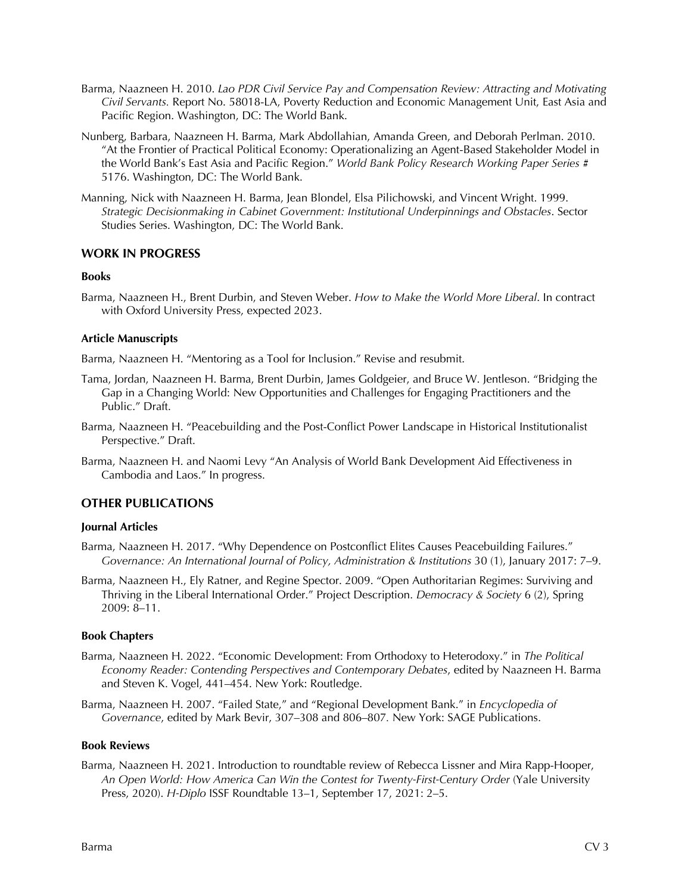- Barma, Naazneen H. 2010. *Lao PDR Civil Service Pay and Compensation Review: Attracting and Motivating Civil Servants.* Report No. 58018-LA, Poverty Reduction and Economic Management Unit, East Asia and Pacific Region. Washington, DC: The World Bank.
- Nunberg, Barbara, Naazneen H. Barma, Mark Abdollahian, Amanda Green, and Deborah Perlman. 2010. "At the Frontier of Practical Political Economy: Operationalizing an Agent-Based Stakeholder Model in the World Bank's East Asia and Pacific Region." *World Bank Policy Research Working Paper Series* # 5176. Washington, DC: The World Bank.
- Manning, Nick with Naazneen H. Barma, Jean Blondel, Elsa Pilichowski, and Vincent Wright. 1999. *Strategic Decisionmaking in Cabinet Government: Institutional Underpinnings and Obstacles*. Sector Studies Series. Washington, DC: The World Bank.

#### **WORK IN PROGRESS**

#### **Books**

Barma, Naazneen H., Brent Durbin, and Steven Weber. *How to Make the World More Liberal*. In contract with Oxford University Press, expected 2023.

#### **Article Manuscripts**

Barma, Naazneen H. "Mentoring as a Tool for Inclusion." Revise and resubmit.

- Tama, Jordan, Naazneen H. Barma, Brent Durbin, James Goldgeier, and Bruce W. Jentleson. "Bridging the Gap in a Changing World: New Opportunities and Challenges for Engaging Practitioners and the Public." Draft.
- Barma, Naazneen H. "Peacebuilding and the Post-Conflict Power Landscape in Historical Institutionalist Perspective." Draft.
- Barma, Naazneen H. and Naomi Levy "An Analysis of World Bank Development Aid Effectiveness in Cambodia and Laos." In progress.

#### **OTHER PUBLICATIONS**

#### **Journal Articles**

- Barma, Naazneen H. 2017. "Why Dependence on Postconflict Elites Causes Peacebuilding Failures." *Governance: An International Journal of Policy, Administration & Institutions* 30 (1), January 2017: 7–9.
- Barma, Naazneen H., Ely Ratner, and Regine Spector. 2009. "Open Authoritarian Regimes: Surviving and Thriving in the Liberal International Order." Project Description. *Democracy & Society* 6 (2), Spring 2009: 8–11.

#### **Book Chapters**

- Barma, Naazneen H. 2022. "Economic Development: From Orthodoxy to Heterodoxy." in *The Political Economy Reader: Contending Perspectives and Contemporary Debates*, edited by Naazneen H. Barma and Steven K. Vogel, 441–454. New York: Routledge.
- Barma, Naazneen H. 2007. "Failed State," and "Regional Development Bank." in *Encyclopedia of Governance*, edited by Mark Bevir, 307–308 and 806–807*.* New York: SAGE Publications.

#### **Book Reviews**

Barma, Naazneen H. 2021. Introduction to roundtable review of Rebecca Lissner and Mira Rapp-Hooper, *An Open World: How America Can Win the Contest for Twenty-First-Century Order* (Yale University Press, 2020). *H-Diplo* ISSF Roundtable 13–1, September 17, 2021: 2–5.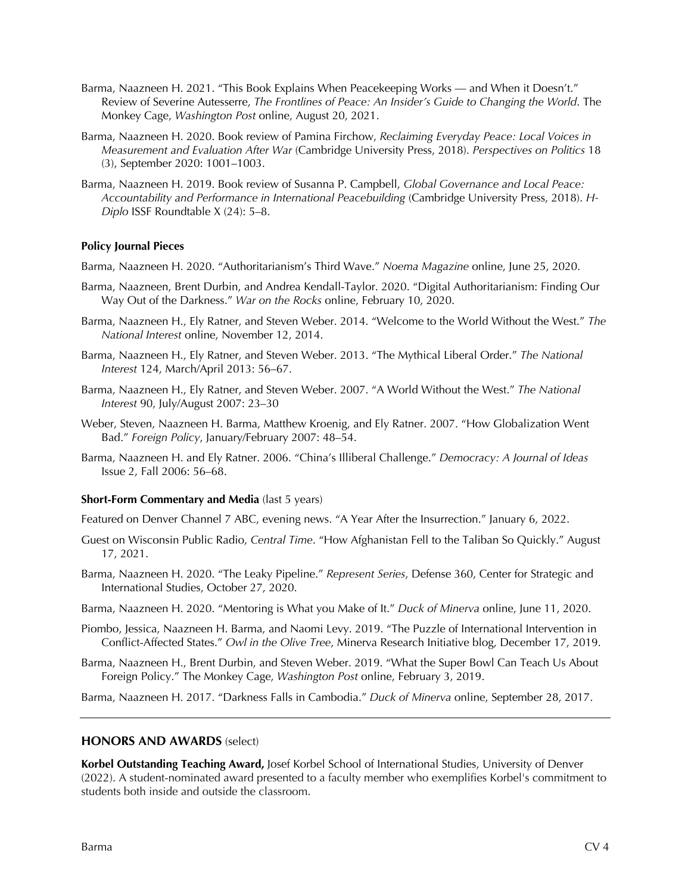- Barma, Naazneen H. 2021. "This Book Explains When Peacekeeping Works and When it Doesn't." Review of Severine Autesserre, *The Frontlines of Peace: An Insider's Guide to Changing the World*. The Monkey Cage, *Washington Post* online, August 20, 2021.
- Barma, Naazneen H. 2020. Book review of Pamina Firchow, *Reclaiming Everyday Peace: Local Voices in Measurement and Evaluation After War* (Cambridge University Press, 2018). *Perspectives on Politics* 18 (3), September 2020: 1001–1003.
- Barma, Naazneen H. 2019. Book review of Susanna P. Campbell, *Global Governance and Local Peace: Accountability and Performance in International Peacebuilding* (Cambridge University Press, 2018). *H-Diplo* ISSF Roundtable X (24): 5–8.

#### **Policy Journal Pieces**

- Barma, Naazneen H. 2020. "Authoritarianism's Third Wave." *Noema Magazine* online, June 25, 2020.
- Barma, Naazneen, Brent Durbin, and Andrea Kendall-Taylor. 2020. "Digital Authoritarianism: Finding Our Way Out of the Darkness." *War on the Rocks* online, February 10, 2020.
- Barma, Naazneen H., Ely Ratner, and Steven Weber. 2014. "Welcome to the World Without the West." *The National Interest* online, November 12, 2014.
- Barma, Naazneen H., Ely Ratner, and Steven Weber. 2013. "The Mythical Liberal Order." *The National Interest* 124, March/April 2013: 56–67.
- Barma, Naazneen H., Ely Ratner, and Steven Weber. 2007. "A World Without the West." *The National Interest* 90, July/August 2007: 23–30
- Weber, Steven, Naazneen H. Barma, Matthew Kroenig, and Ely Ratner. 2007. "How Globalization Went Bad." *Foreign Policy*, January/February 2007: 48–54.
- Barma, Naazneen H. and Ely Ratner. 2006. "China's Illiberal Challenge." *Democracy: A Journal of Ideas* Issue 2, Fall 2006: 56–68.

#### **Short-Form Commentary and Media** (last 5 years)

Featured on Denver Channel 7 ABC, evening news. "A Year After the Insurrection." January 6, 2022.

- Guest on Wisconsin Public Radio, *Central Time*. "How Afghanistan Fell to the Taliban So Quickly." August 17, 2021.
- Barma, Naazneen H. 2020. "The Leaky Pipeline." *Represent Series*, Defense 360, Center for Strategic and International Studies, October 27, 2020.
- Barma, Naazneen H. 2020. "Mentoring is What you Make of It." *Duck of Minerva* online, June 11, 2020.
- Piombo, Jessica, Naazneen H. Barma, and Naomi Levy. 2019. "The Puzzle of International Intervention in Conflict-Affected States." *Owl in the Olive Tree*, Minerva Research Initiative blog, December 17, 2019.
- Barma, Naazneen H., Brent Durbin, and Steven Weber. 2019. "What the Super Bowl Can Teach Us About Foreign Policy." The Monkey Cage, *Washington Post* online, February 3, 2019.

Barma, Naazneen H. 2017. "Darkness Falls in Cambodia." *Duck of Minerva* online, September 28, 2017.

#### **HONORS AND AWARDS** (select)

**Korbel Outstanding Teaching Award,** Josef Korbel School of International Studies, University of Denver (2022). A student-nominated award presented to a faculty member who exemplifies Korbel's commitment to students both inside and outside the classroom.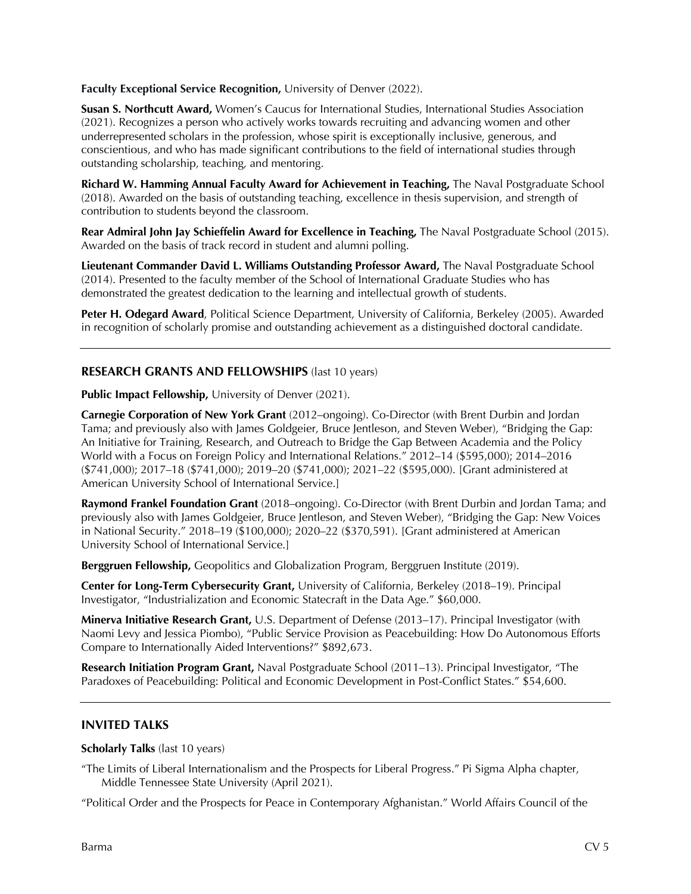**Faculty Exceptional Service Recognition, University of Denver (2022).** 

**Susan S. Northcutt Award,** Women's Caucus for International Studies, International Studies Association (2021). Recognizes a person who actively works towards recruiting and advancing women and other underrepresented scholars in the profession, whose spirit is exceptionally inclusive, generous, and conscientious, and who has made significant contributions to the field of international studies through outstanding scholarship, teaching, and mentoring.

**Richard W. Hamming Annual Faculty Award for Achievement in Teaching,** The Naval Postgraduate School (2018). Awarded on the basis of outstanding teaching, excellence in thesis supervision, and strength of contribution to students beyond the classroom.

**Rear Admiral John Jay Schieffelin Award for Excellence in Teaching,** The Naval Postgraduate School (2015). Awarded on the basis of track record in student and alumni polling.

**Lieutenant Commander David L. Williams Outstanding Professor Award,** The Naval Postgraduate School (2014). Presented to the faculty member of the School of International Graduate Studies who has demonstrated the greatest dedication to the learning and intellectual growth of students.

**Peter H. Odegard Award**, Political Science Department, University of California, Berkeley (2005). Awarded in recognition of scholarly promise and outstanding achievement as a distinguished doctoral candidate.

## **RESEARCH GRANTS AND FELLOWSHIPS** (last 10 years)

**Public Impact Fellowship,** University of Denver (2021).

**Carnegie Corporation of New York Grant** (2012–ongoing). Co-Director (with Brent Durbin and Jordan Tama; and previously also with James Goldgeier, Bruce Jentleson, and Steven Weber), "Bridging the Gap: An Initiative for Training, Research, and Outreach to Bridge the Gap Between Academia and the Policy World with a Focus on Foreign Policy and International Relations." 2012–14 (\$595,000); 2014–2016 (\$741,000); 2017–18 (\$741,000); 2019–20 (\$741,000); 2021–22 (\$595,000). [Grant administered at American University School of International Service.]

**Raymond Frankel Foundation Grant** (2018–ongoing). Co-Director (with Brent Durbin and Jordan Tama; and previously also with James Goldgeier, Bruce Jentleson, and Steven Weber), "Bridging the Gap: New Voices in National Security." 2018–19 (\$100,000); 2020–22 (\$370,591). [Grant administered at American University School of International Service.]

**Berggruen Fellowship,** Geopolitics and Globalization Program, Berggruen Institute (2019).

**Center for Long-Term Cybersecurity Grant,** University of California, Berkeley (2018–19). Principal Investigator, "Industrialization and Economic Statecraft in the Data Age." \$60,000.

**Minerva Initiative Research Grant,** U.S. Department of Defense (2013–17). Principal Investigator (with Naomi Levy and Jessica Piombo), "Public Service Provision as Peacebuilding: How Do Autonomous Efforts Compare to Internationally Aided Interventions?" \$892,673.

**Research Initiation Program Grant,** Naval Postgraduate School (2011–13). Principal Investigator, "The Paradoxes of Peacebuilding: Political and Economic Development in Post-Conflict States." \$54,600.

#### **INVITED TALKS**

**Scholarly Talks** (last 10 years)

"The Limits of Liberal Internationalism and the Prospects for Liberal Progress." Pi Sigma Alpha chapter, Middle Tennessee State University (April 2021).

"Political Order and the Prospects for Peace in Contemporary Afghanistan." World Affairs Council of the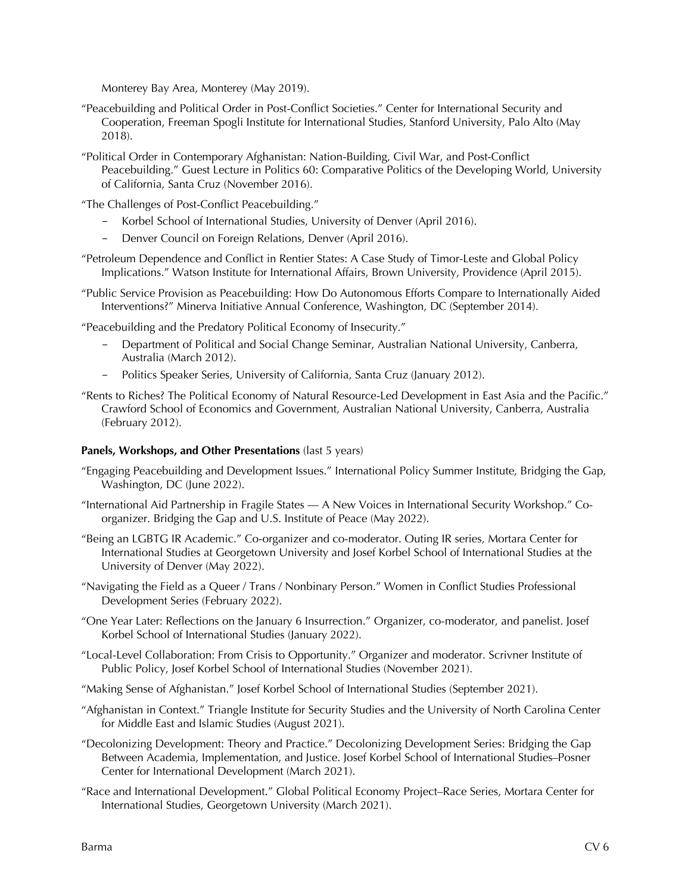Monterey Bay Area, Monterey (May 2019).

- "Peacebuilding and Political Order in Post-Conflict Societies." Center for International Security and Cooperation, Freeman Spogli Institute for International Studies, Stanford University, Palo Alto (May 2018).
- "Political Order in Contemporary Afghanistan: Nation-Building, Civil War, and Post-Conflict Peacebuilding." Guest Lecture in Politics 60: Comparative Politics of the Developing World, University of California, Santa Cruz (November 2016).
- "The Challenges of Post-Conflict Peacebuilding."
	- Korbel School of International Studies, University of Denver (April 2016).
	- Denver Council on Foreign Relations, Denver (April 2016).
- "Petroleum Dependence and Conflict in Rentier States: A Case Study of Timor-Leste and Global Policy Implications." Watson Institute for International Affairs, Brown University, Providence (April 2015).
- "Public Service Provision as Peacebuilding: How Do Autonomous Efforts Compare to Internationally Aided Interventions?" Minerva Initiative Annual Conference, Washington, DC (September 2014).

"Peacebuilding and the Predatory Political Economy of Insecurity."

- Department of Political and Social Change Seminar, Australian National University, Canberra, Australia (March 2012).
- Politics Speaker Series, University of California, Santa Cruz (January 2012).
- "Rents to Riches? The Political Economy of Natural Resource-Led Development in East Asia and the Pacific." Crawford School of Economics and Government, Australian National University, Canberra, Australia (February 2012).

## **Panels, Workshops, and Other Presentations** (last 5 years)

- "Engaging Peacebuilding and Development Issues." International Policy Summer Institute, Bridging the Gap, Washington, DC (June 2022).
- "International Aid Partnership in Fragile States A New Voices in International Security Workshop." Coorganizer. Bridging the Gap and U.S. Institute of Peace (May 2022).
- "Being an LGBTG IR Academic." Co-organizer and co-moderator. Outing IR series, Mortara Center for International Studies at Georgetown University and Josef Korbel School of International Studies at the University of Denver (May 2022).
- "Navigating the Field as a Queer / Trans / Nonbinary Person." Women in Conflict Studies Professional Development Series (February 2022).
- "One Year Later: Reflections on the January 6 Insurrection." Organizer, co-moderator, and panelist. Josef Korbel School of International Studies (January 2022).
- "Local-Level Collaboration: From Crisis to Opportunity." Organizer and moderator. Scrivner Institute of Public Policy, Josef Korbel School of International Studies (November 2021).
- "Making Sense of Afghanistan." Josef Korbel School of International Studies (September 2021).
- "Afghanistan in Context." Triangle Institute for Security Studies and the University of North Carolina Center for Middle East and Islamic Studies (August 2021).
- "Decolonizing Development: Theory and Practice." Decolonizing Development Series: Bridging the Gap Between Academia, Implementation, and Justice. Josef Korbel School of International Studies–Posner Center for International Development (March 2021).
- "Race and International Development." Global Political Economy Project–Race Series, Mortara Center for International Studies, Georgetown University (March 2021).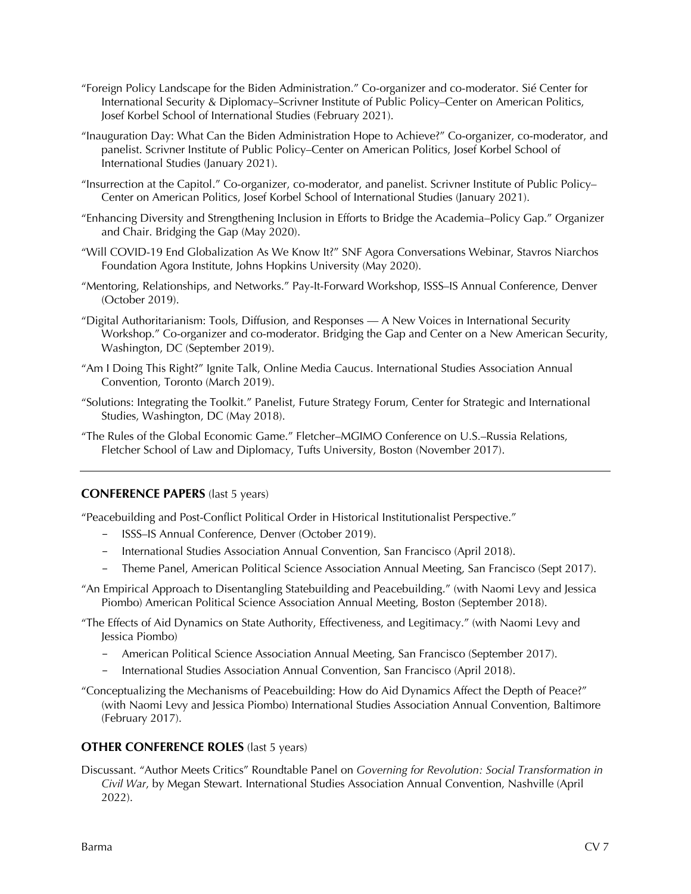- "Foreign Policy Landscape for the Biden Administration." Co-organizer and co-moderator. Sié Center for International Security & Diplomacy–Scrivner Institute of Public Policy–Center on American Politics, Josef Korbel School of International Studies (February 2021).
- "Inauguration Day: What Can the Biden Administration Hope to Achieve?" Co-organizer, co-moderator, and panelist. Scrivner Institute of Public Policy–Center on American Politics, Josef Korbel School of International Studies (January 2021).
- "Insurrection at the Capitol." Co-organizer, co-moderator, and panelist. Scrivner Institute of Public Policy– Center on American Politics, Josef Korbel School of International Studies (January 2021).
- "Enhancing Diversity and Strengthening Inclusion in Efforts to Bridge the Academia–Policy Gap." Organizer and Chair. Bridging the Gap (May 2020).
- "Will COVID-19 End Globalization As We Know It?" SNF Agora Conversations Webinar, Stavros Niarchos Foundation Agora Institute, Johns Hopkins University (May 2020).
- "Mentoring, Relationships, and Networks." Pay-It-Forward Workshop, ISSS–IS Annual Conference, Denver (October 2019).
- "Digital Authoritarianism: Tools, Diffusion, and Responses A New Voices in International Security Workshop." Co-organizer and co-moderator. Bridging the Gap and Center on a New American Security, Washington, DC (September 2019).
- "Am I Doing This Right?" Ignite Talk, Online Media Caucus. International Studies Association Annual Convention, Toronto (March 2019).
- "Solutions: Integrating the Toolkit." Panelist, Future Strategy Forum, Center for Strategic and International Studies, Washington, DC (May 2018).
- "The Rules of the Global Economic Game." Fletcher–MGIMO Conference on U.S.–Russia Relations, Fletcher School of Law and Diplomacy, Tufts University, Boston (November 2017).

## **CONFERENCE PAPERS** (last 5 years)

"Peacebuilding and Post-Conflict Political Order in Historical Institutionalist Perspective."

- ISSS–IS Annual Conference, Denver (October 2019).
- International Studies Association Annual Convention, San Francisco (April 2018).
- Theme Panel, American Political Science Association Annual Meeting, San Francisco (Sept 2017).
- "An Empirical Approach to Disentangling Statebuilding and Peacebuilding." (with Naomi Levy and Jessica Piombo) American Political Science Association Annual Meeting, Boston (September 2018).
- "The Effects of Aid Dynamics on State Authority, Effectiveness, and Legitimacy." (with Naomi Levy and Jessica Piombo)
	- American Political Science Association Annual Meeting, San Francisco (September 2017).
	- International Studies Association Annual Convention, San Francisco (April 2018).
- "Conceptualizing the Mechanisms of Peacebuilding: How do Aid Dynamics Affect the Depth of Peace?" (with Naomi Levy and Jessica Piombo) International Studies Association Annual Convention, Baltimore (February 2017).

## **OTHER CONFERENCE ROLES** (last 5 years)

Discussant. "Author Meets Critics" Roundtable Panel on *Governing for Revolution: Social Transformation in Civil War*, by Megan Stewart. International Studies Association Annual Convention, Nashville (April 2022).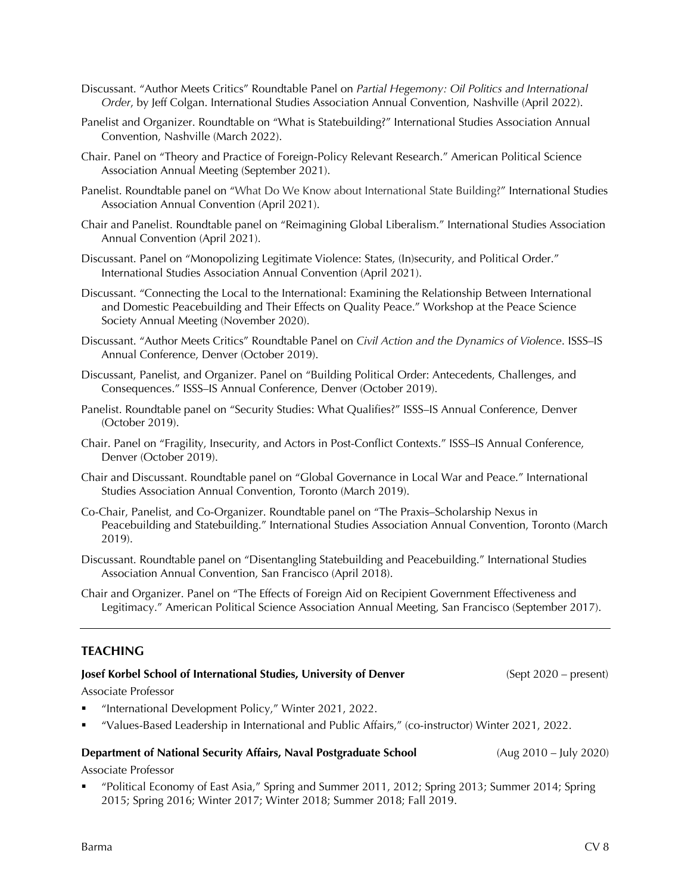- Discussant. "Author Meets Critics" Roundtable Panel on *Partial Hegemony: Oil Politics and International Order*, by Jeff Colgan. International Studies Association Annual Convention, Nashville (April 2022).
- Panelist and Organizer. Roundtable on "What is Statebuilding?" International Studies Association Annual Convention, Nashville (March 2022).
- Chair. Panel on "Theory and Practice of Foreign-Policy Relevant Research." American Political Science Association Annual Meeting (September 2021).
- Panelist. Roundtable panel on "What Do We Know about International State Building?" International Studies Association Annual Convention (April 2021).
- Chair and Panelist. Roundtable panel on "Reimagining Global Liberalism." International Studies Association Annual Convention (April 2021).
- Discussant. Panel on "Monopolizing Legitimate Violence: States, (In)security, and Political Order." International Studies Association Annual Convention (April 2021).
- Discussant. "Connecting the Local to the International: Examining the Relationship Between International and Domestic Peacebuilding and Their Effects on Quality Peace." Workshop at the Peace Science Society Annual Meeting (November 2020).
- Discussant. "Author Meets Critics" Roundtable Panel on *Civil Action and the Dynamics of Violence*. ISSS–IS Annual Conference, Denver (October 2019).
- Discussant, Panelist, and Organizer. Panel on "Building Political Order: Antecedents, Challenges, and Consequences." ISSS–IS Annual Conference, Denver (October 2019).
- Panelist. Roundtable panel on "Security Studies: What Qualifies?" ISSS–IS Annual Conference, Denver (October 2019).
- Chair. Panel on "Fragility, Insecurity, and Actors in Post-Conflict Contexts." ISSS–IS Annual Conference, Denver (October 2019).
- Chair and Discussant. Roundtable panel on "Global Governance in Local War and Peace." International Studies Association Annual Convention, Toronto (March 2019).
- Co-Chair, Panelist, and Co-Organizer. Roundtable panel on "The Praxis–Scholarship Nexus in Peacebuilding and Statebuilding." International Studies Association Annual Convention, Toronto (March 2019).
- Discussant. Roundtable panel on "Disentangling Statebuilding and Peacebuilding." International Studies Association Annual Convention, San Francisco (April 2018).
- Chair and Organizer. Panel on "The Effects of Foreign Aid on Recipient Government Effectiveness and Legitimacy." American Political Science Association Annual Meeting, San Francisco (September 2017).

## **TEACHING**

# Associate Professor § "International Development Policy," Winter 2021, 2022. § "Values-Based Leadership in International and Public Affairs," (co-instructor) Winter 2021, 2022. **Department of National Security Affairs, Naval Postgraduate School (Aug 2010 – July 2020)** Associate Professor § "Political Economy of East Asia," Spring and Summer 2011, 2012; Spring 2013; Summer 2014; Spring 2015; Spring 2016; Winter 2017; Winter 2018; Summer 2018; Fall 2019.

## Barma CV 8

**Josef Korbel School of International Studies, University of Denver** (Sept 2020 – present)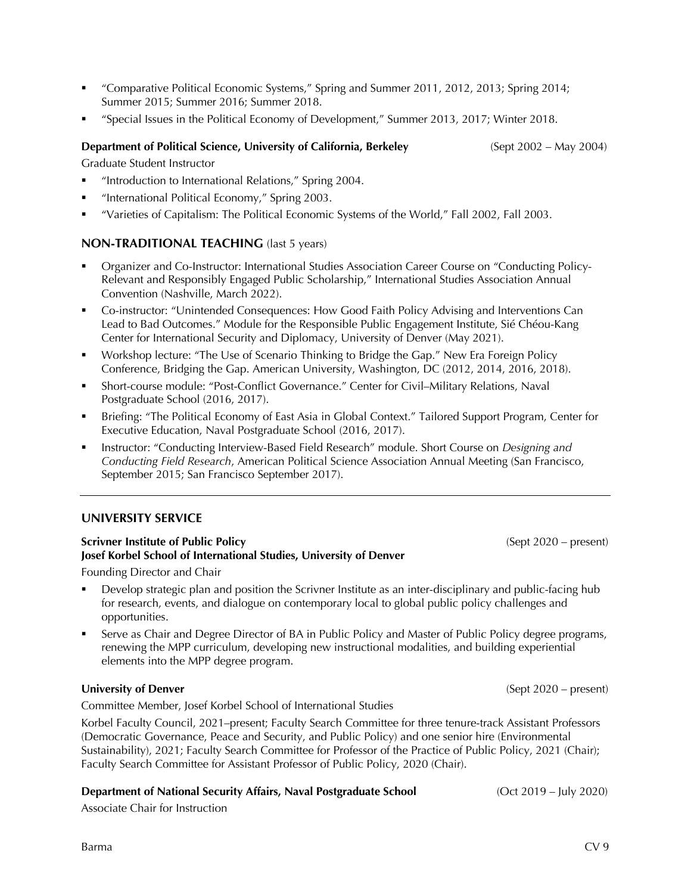- § "Comparative Political Economic Systems," Spring and Summer 2011, 2012, 2013; Spring 2014; Summer 2015; Summer 2016; Summer 2018.
- § "Special Issues in the Political Economy of Development," Summer 2013, 2017; Winter 2018.

## **Department of Political Science, University of California, Berkeley** (Sept 2002 – May 2004)

Graduate Student Instructor

- § "Introduction to International Relations," Spring 2004.
- "International Political Economy," Spring 2003.
- § "Varieties of Capitalism: The Political Economic Systems of the World," Fall 2002, Fall 2003.

## **NON-TRADITIONAL TEACHING** (last 5 years)

- § Organizer and Co-Instructor: International Studies Association Career Course on "Conducting Policy-Relevant and Responsibly Engaged Public Scholarship," International Studies Association Annual Convention (Nashville, March 2022).
- § Co-instructor: "Unintended Consequences: How Good Faith Policy Advising and Interventions Can Lead to Bad Outcomes." Module for the Responsible Public Engagement Institute, Sié Chéou-Kang Center for International Security and Diplomacy, University of Denver (May 2021).
- § Workshop lecture: "The Use of Scenario Thinking to Bridge the Gap." New Era Foreign Policy Conference, Bridging the Gap. American University, Washington, DC (2012, 2014, 2016, 2018).
- § Short-course module: "Post-Conflict Governance." Center for Civil–Military Relations, Naval Postgraduate School (2016, 2017).
- § Briefing: "The Political Economy of East Asia in Global Context." Tailored Support Program, Center for Executive Education, Naval Postgraduate School (2016, 2017).
- § Instructor: "Conducting Interview-Based Field Research" module. Short Course on *Designing and Conducting Field Research*, American Political Science Association Annual Meeting (San Francisco, September 2015; San Francisco September 2017).

## **UNIVERSITY SERVICE**

#### **Scrivner Institute of Public Policy** (Sept 2020 – present) **Josef Korbel School of International Studies, University of Denver**

Founding Director and Chair

- § Develop strategic plan and position the Scrivner Institute as an inter-disciplinary and public-facing hub for research, events, and dialogue on contemporary local to global public policy challenges and opportunities.
- Serve as Chair and Degree Director of BA in Public Policy and Master of Public Policy degree programs, renewing the MPP curriculum, developing new instructional modalities, and building experiential elements into the MPP degree program.

## **University of Denver** (Sept 2020 – present)

Committee Member, Josef Korbel School of International Studies

Korbel Faculty Council, 2021–present; Faculty Search Committee for three tenure-track Assistant Professors (Democratic Governance, Peace and Security, and Public Policy) and one senior hire (Environmental Sustainability), 2021; Faculty Search Committee for Professor of the Practice of Public Policy, 2021 (Chair); Faculty Search Committee for Assistant Professor of Public Policy, 2020 (Chair).

#### **Department of National Security Affairs, Naval Postgraduate School** (Oct 2019 – July 2020)

Associate Chair for Instruction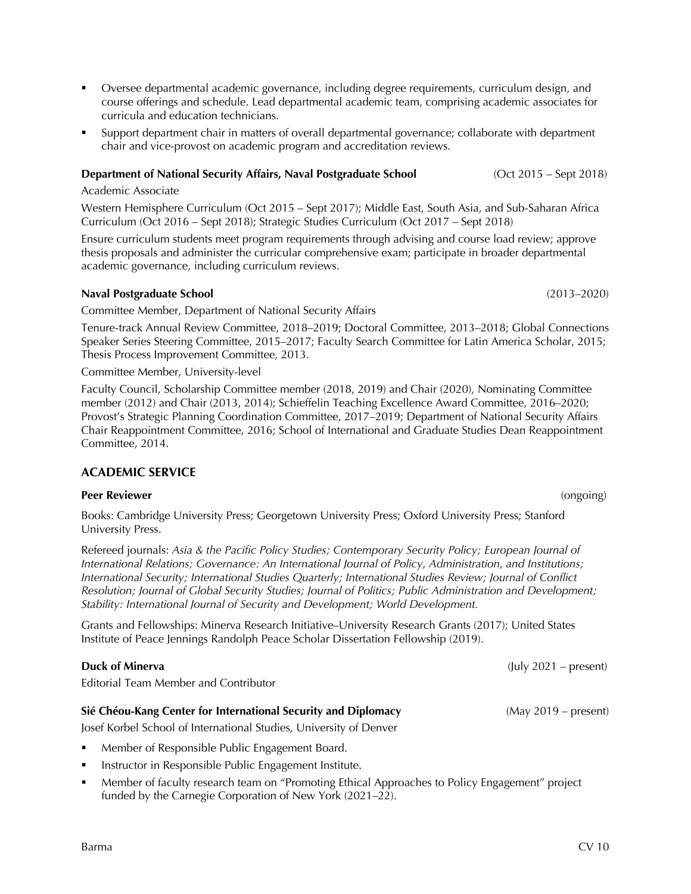- § Oversee departmental academic governance, including degree requirements, curriculum design, and course offerings and schedule. Lead departmental academic team, comprising academic associates for curricula and education technicians.
- § Support department chair in matters of overall departmental governance; collaborate with department chair and vice-provost on academic program and accreditation reviews.

#### **Department of National Security Affairs, Naval Postgraduate School** (Oct 2015 – Sept 2018)

Academic Associate

Western Hemisphere Curriculum (Oct 2015 – Sept 2017); Middle East, South Asia, and Sub-Saharan Africa Curriculum (Oct 2016 – Sept 2018); Strategic Studies Curriculum (Oct 2017 – Sept 2018)

Ensure curriculum students meet program requirements through advising and course load review; approve thesis proposals and administer the curricular comprehensive exam; participate in broader departmental academic governance, including curriculum reviews.

#### **Naval Postgraduate School** (2013–2020)

Committee Member, Department of National Security Affairs

Tenure-track Annual Review Committee, 2018–2019; Doctoral Committee, 2013–2018; Global Connections Speaker Series Steering Committee, 2015–2017; Faculty Search Committee for Latin America Scholar, 2015; Thesis Process Improvement Committee, 2013.

Committee Member, University-level

Faculty Council, Scholarship Committee member (2018, 2019) and Chair (2020), Nominating Committee member (2012) and Chair (2013, 2014); Schieffelin Teaching Excellence Award Committee, 2016–2020; Provost's Strategic Planning Coordination Committee, 2017–2019; Department of National Security Affairs Chair Reappointment Committee, 2016; School of International and Graduate Studies Dean Reappointment Committee, 2014.

## **ACADEMIC SERVICE**

## **Peer Reviewer** (ongoing)

Books: Cambridge University Press; Georgetown University Press; Oxford University Press; Stanford University Press.

Refereed journals: *Asia & the Pacific Policy Studies; Contemporary Security Policy; European Journal of International Relations; Governance: An International Journal of Policy, Administration, and Institutions; International Security; International Studies Quarterly; International Studies Review; Journal of Conflict Resolution; Journal of Global Security Studies; Journal of Politics; Public Administration and Development; Stability: International Journal of Security and Development; World Development.*

Grants and Fellowships: Minerva Research Initiative–University Research Grants (2017); United States Institute of Peace Jennings Randolph Peace Scholar Dissertation Fellowship (2019).

## **Duck of Minerva** (July 2021 – present)

Editorial Team Member and Contributor

## **Sié Chéou-Kang Center for International Security and Diplomacy** (May 2019 – present)

Josef Korbel School of International Studies, University of Denver

- § Member of Responsible Public Engagement Board.
- Instructor in Responsible Public Engagement Institute.
- § Member of faculty research team on "Promoting Ethical Approaches to Policy Engagement" project funded by the Carnegie Corporation of New York (2021–22).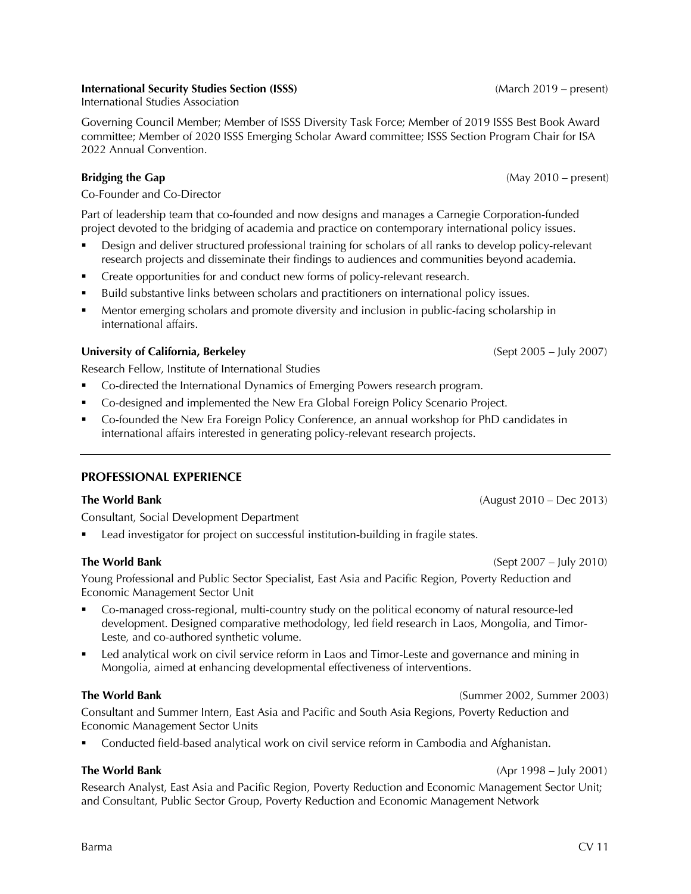## **International Security Studies Section (ISSS)** (March 2019 – present)

International Studies Association

Governing Council Member; Member of ISSS Diversity Task Force; Member of 2019 ISSS Best Book Award committee; Member of 2020 ISSS Emerging Scholar Award committee; ISSS Section Program Chair for ISA 2022 Annual Convention.

## **Bridging the Gap Capacities Bridging the Gap CAUSE 1999 CAUSE 1999 CAUSE 1999 CAUSE 1999 CAUSE 1999 CAUSE 1999 CAUSE 1999 CAUSE 1999 CAUSE 1999 CAUSE 1999 CAUSE 1999 CAUSE 1999 CAUSE 1999 C**

Co-Founder and Co-Director

Part of leadership team that co-founded and now designs and manages a Carnegie Corporation-funded project devoted to the bridging of academia and practice on contemporary international policy issues.

- § Design and deliver structured professional training for scholars of all ranks to develop policy-relevant research projects and disseminate their findings to audiences and communities beyond academia.
- § Create opportunities for and conduct new forms of policy-relevant research.
- § Build substantive links between scholars and practitioners on international policy issues.
- § Mentor emerging scholars and promote diversity and inclusion in public-facing scholarship in international affairs.

## **University of California, Berkeley** (Sept 2005 – July 2007)

Research Fellow, Institute of International Studies

- § Co-directed the International Dynamics of Emerging Powers research program.
- § Co-designed and implemented the New Era Global Foreign Policy Scenario Project.
- § Co-founded the New Era Foreign Policy Conference, an annual workshop for PhD candidates in international affairs interested in generating policy-relevant research projects.

## **PROFESSIONAL EXPERIENCE**

## **The World Bank** (August 2010 – Dec 2013)

Consultant, Social Development Department

Lead investigator for project on successful institution-building in fragile states.

Young Professional and Public Sector Specialist, East Asia and Pacific Region, Poverty Reduction and Economic Management Sector Unit

- § Co-managed cross-regional, multi-country study on the political economy of natural resource-led development. Designed comparative methodology, led field research in Laos, Mongolia, and Timor-Leste, and co-authored synthetic volume.
- Led analytical work on civil service reform in Laos and Timor-Leste and governance and mining in Mongolia, aimed at enhancing developmental effectiveness of interventions.

## **The World Bank** (Summer 2002, Summer 2003)

Consultant and Summer Intern, East Asia and Pacific and South Asia Regions, Poverty Reduction and Economic Management Sector Units

§ Conducted field-based analytical work on civil service reform in Cambodia and Afghanistan.

## **The World Bank** (Apr 1998 – July 2001)

Research Analyst, East Asia and Pacific Region, Poverty Reduction and Economic Management Sector Unit; and Consultant, Public Sector Group, Poverty Reduction and Economic Management Network

**The World Bank** (Sept 2007 – July 2010)